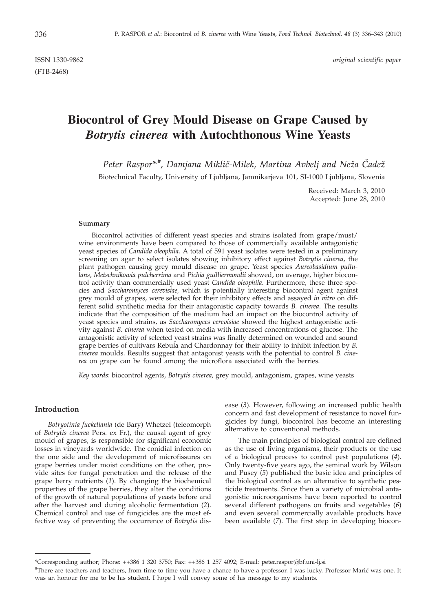(FTB-2468)

# **Biocontrol of Grey Mould Disease on Grape Caused by** *Botrytis cinerea* **with Autochthonous Wine Yeasts**

Peter Raspor<sup>\*</sup><sup>#</sup>, Damjana Miklič-Milek, Martina Avbelj and Neža Čadež

Biotechnical Faculty, University of Ljubljana, Jamnikarjeva 101, SI-1000 Ljubljana, Slovenia

Received: March 3, 2010 Accepted: June 28, 2010

#### **Summary**

Biocontrol activities of different yeast species and strains isolated from grape/must/ wine environments have been compared to those of commercially available antagonistic yeast species of *Candida oleophila*. A total of 591 yeast isolates were tested in a preliminary screening on agar to select isolates showing inhibitory effect against *Botrytis cinerea,* the plant pathogen causing grey mould disease on grape. Yeast species *Aureobasidium pullulans*, *Metschnikowia pulcherrima* and *Pichia guilliermondii* showed, on average, higher biocontrol activity than commercially used yeast *Candida oleophila.* Furthermore, these three species and *Saccharomyces cerevisiae,* which is potentially interesting biocontrol agent against grey mould of grapes, were selected for their inhibitory effects and assayed *in vitro* on different solid synthetic media for their antagonistic capacity towards *B. cinerea*. The results indicate that the composition of the medium had an impact on the biocontrol activity of yeast species and strains, as *Saccharomyces cerevisiae* showed the highest antagonistic activity against *B. cinerea* when tested on media with increased concentrations of glucose. The antagonistic activity of selected yeast strains was finally determined on wounded and sound grape berries of cultivars Rebula and Chardonnay for their ability to inhibit infection by *B. cinerea* moulds. Results suggest that antagonist yeasts with the potential to control *B. cinerea* on grape can be found among the microflora associated with the berries.

*Key words*: biocontrol agents, *Botrytis cinerea,* grey mould, antagonism, grapes, wine yeasts

#### **Introduction**

*Botryotinia fuckeliania* (de Bary) Whetzel (teleomorph of *Botrytis cinerea* Pers. ex Fr.), the causal agent of grey mould of grapes, is responsible for significant economic losses in vineyards worldwide. The conidial infection on the one side and the development of microfissures on grape berries under moist conditions on the other, provide sites for fungal penetration and the release of the grape berry nutrients (*1*). By changing the biochemical properties of the grape berries, they alter the conditions of the growth of natural populations of yeasts before and after the harvest and during alcoholic fermentation (*2*). Chemical control and use of fungicides are the most effective way of preventing the occurrence of *Botrytis* disease (*3*). However, following an increased public health concern and fast development of resistance to novel fungicides by fungi, biocontrol has become an interesting alternative to conventional methods.

The main principles of biological control are defined as the use of living organisms, their products or the use of a biological process to control pest populations (*4*). Only twenty-five years ago, the seminal work by Wilson and Pusey (*5*) published the basic idea and principles of the biological control as an alternative to synthetic pesticide treatments. Since then a variety of microbial antagonistic microorganisms have been reported to control several different pathogens on fruits and vegetables (*6*) and even several commercially available products have been available (*7*). The first step in developing biocon-

<sup>\*</sup>Corresponding author; Phone: ++386 1 320 3750; Fax: ++386 1 257 4092; E-mail: peter.raspor@bf.uni-lj.si

<sup>#</sup>There are teachers and teachers, from time to time you have a chance to have a professor. I was lucky. Professor Marić was one. It was an honour for me to be his student. I hope I will convey some of his message to my students.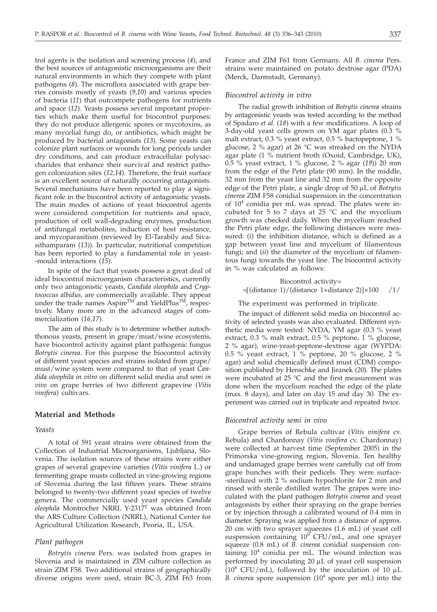trol agents is the isolation and screening process (*4*), and the best sources of antagonistic microorganisms are their natural environments in which they compete with plant pathogens (*8*). The microflora associated with grape berries consists mostly of yeasts (*9*,*10*) and various species of bacteria (*11*) that outcompete pathogens for nutrients and space (*12*). Yeasts possess several important properties which make them useful for biocontrol purposes: they do not produce allergenic spores or mycotoxins, as many mycelial fungi do, or antibiotics, which might be produced by bacterial antagonists (*13*). Some yeasts can colonize plant surfaces or wounds for long periods under dry conditions, and can produce extracellular polysaccharides that enhance their survival and restrict pathogen colonization sites (*12,14*). Therefore, the fruit surface is an excellent source of naturally occurring antagonists. Several mechanisms have been reported to play a significant role in the biocontrol activity of antagonistic yeasts. The main modes of actions of yeast biocontrol agents were considered competition for nutrients and space, production of cell wall-degrading enzymes, production of antifungal metabolites, induction of host resistance, and mycoparasitism (reviewed by El-Tarabily and Sivasithamparam (*13*)). In particular, nutritional competition has been reported to play a fundamental role in yeast- -mould interactions (*15*).

In spite of the fact that yeasts possess a great deal of ideal biocontrol microorganism characteristics, currently only two antagonistic yeasts, *Candida oleophila* and *Cryptococcus albidus,* are commercially available. They appear under the trade names Aspire<sup>TM'</sup> and YieldPlus<sup>TM</sup>, respectively. Many more are in the advanced stages of commercialization (*16,17*).

The aim of this study is to determine whether autochthonous yeasts, present in grape/must/wine ecosystems, have biocontrol activity against plant pathogenic fungus *Botrytis cinerea*. For this purpose the biocontrol activity of different yeast species and strains isolated from grape/ must/wine system were compared to that of yeast *Candida oleophila in vitro* on different solid media and *semi in vivo* on grape berries of two different grapevine (*Vitis vinifera*) cultivars.

# **Material and Methods**

#### *Yeasts*

A total of 591 yeast strains were obtained from the Collection of Industrial Microorganisms, Ljubljana, Slovenia. The isolation sources of these strains were either grapes of several grapevine varieties (*Vitis vinifera* L.) or fermenting grape musts collected in vine-growing regions of Slovenia during the last fifteen years. These strains belonged to twenty-two different yeast species of twelve genera. The commercially used yeast species *Candida oleophila* Montrocher NRRL Y-2317T was obtained from the ARS Culture Collection (NRRL), National Center for Agricultural Utilization Research, Peoria, IL, USA.

## *Plant pathogen*

*Botrytis cinerea* Pers. was isolated from grapes in Slovenia and is maintained in ZIM culture collection as strain ZIM F58. Two additional strains of geographically diverse origins were used, strain BC-3, ZIM F63 from France and ZIM F61 from Germany. All *B. cinerea* Pers. strains were maintained on potato dextrose agar (PDA) (Merck, Darmstadt, Germany).

#### *Biocontrol activity in vitro*

The radial growth inhibition of *Botrytis cinerea* strains by antagonistic yeasts was tested according to the method of Spadaro *et al.* (*18*) with a few modifications. A loop of 3-day-old yeast cells grown on YM agar plates (0.3 % malt extract, 0.3 % yeast extract, 0.5 % bactopeptone, 1 % glucose, 2 % agar) at 26 °C was streaked on the NYDA agar plate (1 % nutrient broth (Oxoid, Cambridge, UK), 0.5 % yeast extract, 1 % glucose, 2 % agar (*19*)) 20 mm from the edge of the Petri plate (90 mm). In the middle, 32 mm from the yeast line and 32 mm from the opposite edge of the Petri plate, a single drop of 50 mL of *Botrytis cinerea* ZIM F58 conidial suspension in the concentration of  $10<sup>4</sup>$  conidia per mL was spread. The plates were incubated for 5 to 7 days at  $25$  °C and the mycelium growth was checked daily. When the mycelium reached the Petri plate edge, the following distances were measured: (*i*) the inhibition distance, which is defined as a gap between yeast line and mycelium of filamentous fungi; and (*ii*) the diameter of the mycelium of filamentous fungi towards the yeast line. The biocontrol activity in % was calculated as follows:

# Biocontrol activity=  $=[$ (distance 1)/(distance 1+distance 2)] $\times$ 100 /1/

## The experiment was performed in triplicate.

The impact of different solid media on biocontrol activity of selected yeasts was also evaluated. Different synthetic media were tested: NYDA, YM agar (0.3 % yeast extract, 0.3 % malt extract, 0.5 % peptone, 1 % glucose, 2 % agar), wine-yeast-peptone-dextrose agar (WYPDA: 0.5 % yeast extract, 1 % peptone, 20 % glucose, 2 % agar) and solid chemically defined must (CDM) composition published by Henschke and Jiranek (*20*). The plates were incubated at 25 °C and the first measurement was done when the mycelium reached the edge of the plate (max. 8 days), and later on day 15 and day 30. The experiment was carried out in triplicate and repeated twice.

## *Biocontrol activity semi in vivo*

Grape berries of Rebula cultivar (*Vitis vinifera* cv. Rebula) and Chardonnay (*Vitis vinifera* cv. Chardonnay) were collected at harvest time (September 2005) in the Primorska vine-growing region, Slovenia. Ten healthy and undamaged grape berries were carefully cut off from grape bunches with their pedicels. They were surface- -sterilized with 2 % sodium hypochlorite for 2 min and rinsed with sterile distilled water. The grapes were inoculated with the plant pathogen *Botrytis cinerea* and yeast antagonists by either their spraying on the grape berries or by injection through a calibrated wound of 0.4 mm in diameter. Spraying was applied from a distance of approx. 20 cm with two sprayer squeezes (1.6 mL) of yeast cell suspension containing  $10^8$  CFU/mL, and one sprayer squeeze (0.8 mL) of *B. cinerea* conidial suspension containing  $10<sup>4</sup>$  conidia per mL. The wound infection was performed by inoculating 20 µL of yeast cell suspension  $(10^8 \text{ CFU/mL})$ , followed by the inoculation of 10 µL *B. cinerea* spore suspension (104 spore per mL) into the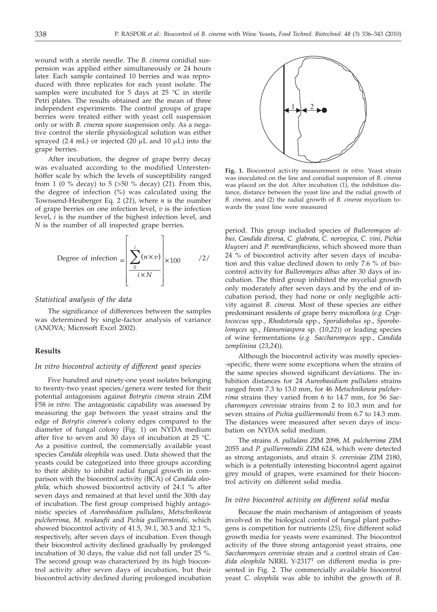wound with a sterile needle. The *B. cinerea* conidial suspension was applied either simultaneously or 24 hours later. Each sample contained 10 berries and was reproduced with three replicates for each yeast isolate. The samples were incubated for 5 days at 25 °C in sterile Petri plates. The results obtained are the mean of three independent experiments. The control groups of grape berries were treated either with yeast cell suspension only or with *B. cinerea* spore suspension only. As a negative control the sterile physiological solution was either sprayed (2.4 mL) or injected (20  $\mu$ L and 10  $\mu$ L) into the grape berries.

After incubation, the degree of grape berry decay was evaluated according to the modified Unterstenhöffer scale by which the levels of susceptibility ranged from 1 (0 % decay) to 5 (>50 % decay) (*21*). From this, the degree of infection (%) was calculated using the Townsend-Heuberger Eq. 2 (*21*), where *n* is the number of grape berries on one infection level, *v* is the infection level, *i* is the number of the highest infection level, and *N* is the number of all inspected grape berries.



## *Statistical analysis of the data*

The significance of differences between the samples was determined by single-factor analysis of variance (ANOVA; Microsoft Excel 2002).

# **Results**

#### *In vitro biocontrol activity of different yeast species*

Five hundred and ninety-one yeast isolates belonging to twenty-two yeast species/genera were tested for their potential antagonism against *Botrytis cinerea* strain ZIM F58 *in vitro*. The antagonistic capability was assessed by measuring the gap between the yeast strains and the edge of *Botrytis cinerea'*s colony edges compared to the diameter of fungal colony (Fig. 1) on NYDA medium after five to seven and 30 days of incubation at 25 °C. As a positive control, the commercially available yeast species *Candida oleophila* was used. Data showed that the yeasts could be categorized into three groups according to their ability to inhibit radial fungal growth in comparison with the biocontrol activity (BCA) of *Candida oleophila,* which showed biocontrol activity of 24.1 % after seven days and remained at that level until the 30th day of incubation. The first group comprised highly antagonistic species of *Aureobasidium pullulans*, *Metschnikowia pulcherrima, M. reukaufii* and *Pichia guilliermondii,* which showed biocontrol activity of 41.5, 39.1, 30.3 and 32.1 %, respectively, after seven days of incubation. Even though their biocontrol activity declined gradually by prolonged incubation of 30 days, the value did not fall under 25 %. The second group was characterized by its high biocontrol activity after seven days of incubation, but their biocontrol activity declined during prolonged incubation



**Fig. 1.** Biocontrol activity measurement *in vitro*. Yeast strain was inoculated on the line and conidial suspension of *B. cinerea* was placed on the dot. After incubation  $(1)$ , the inhibition distance, distance between the yeast line and the radial growth of *B. cinerea,* and (2) the radial growth of *B. cinerea* mycelium towards the yeast line were measured

period. This group included species of *Bulleromyces albus, Candida diversa, C. glabrata, C. norvegica, C. vini*, *Pichia kluyveri* and *P. membranifaciens,* which showed more than 24 % of biocontrol activity after seven days of incubation and this value declined down to only 7.6 % of biocontrol activity for *Bulleromyces albus* after 30 days of incubation. The third group inhibited the mycelial growth only moderately after seven days and by the end of incubation period, they had none or only negligible activity against *B. cinerea*. Most of these species are either predominant residents of grape berry microflora (*e.g. Cryptococcus* spp., *Rhodotorula* spp., *Sporidiobolus* sp., *Sporobolomyces* sp., *Hanseniaspora* sp. (*10*,*22*)) or leading species of wine fermentations (*e.g. Saccharomyces* spp., *Candida zemplinina* (*23*,*24*)).

Although the biocontrol activity was mostly species- -specific, there were some exceptions when the strains of the same species showed significant deviations. The inhibition distances for 24 *Aureobasidium pullulans* strains ranged from 7.3 to 13.0 mm, for 46 *Metschnikowia pulcherrima* strains they varied from 6 to 14.7 mm, for 56 *Saccharomyces cerevisiae* strains from 2 to 10.3 mm and for seven strains of *Pichia guilliermondii* from 6.7 to 14.3 mm. The distances were measured after seven days of incubation on NYDA solid medium.

The strains *A. pullulans* ZIM 2098, *M. pulcherrima* ZIM 2055 and *P. guilliermondii* ZIM 624, which were detected as strong antagonists, and strain *S. cerevisiae* ZIM 2180, which is a potentially interesting biocontrol agent against grey mould of grapes, were examined for their biocontrol activity on different solid media.

# *In vitro biocontrol activity on different solid media*

Because the main mechanism of antagonism of yeasts involved in the biological control of fungal plant pathogens is competition for nutrients (*25*), five different solid growth media for yeasts were examined. The biocontrol activity of the three strong antagonist yeast strains, one *Saccharomyces cerevisiae* strain and a control strain of *Candida oleophila* NRRL Y-2317T on different media is presented in Fig. 2. The commercially available biocontrol yeast *C. oleophila* was able to inhibit the growth of *B.*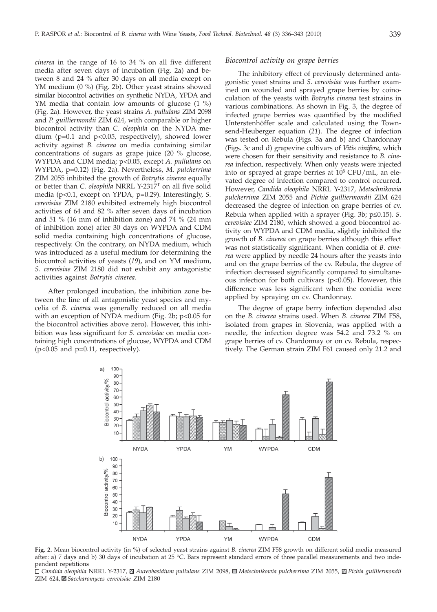*cinerea* in the range of 16 to 34 % on all five different media after seven days of incubation (Fig. 2a) and between 8 and 24 % after 30 days on all media except on YM medium (0 %) (Fig. 2b). Other yeast strains showed similar biocontrol activities on synthetic NYDA, YPDA and YM media that contain low amounts of glucose  $(1 \%)$ (Fig. 2a). However, the yeast strains *A. pullulans* ZIM 2098 and *P. guilliermondii* ZIM 624, with comparable or higher biocontrol activity than *C. oleophila* on the NYDA medium (p=0.1 and p<0.05, respectively), showed lower activity against *B. cinerea* on media containing similar concentrations of sugars as grape juice (20 % glucose, WYPDA and CDM media; p<0.05, except *A. pullulans* on WYPDA, p=0.12) (Fig. 2a). Nevertheless, *M. pulcherrima* ZIM 2055 inhibited the growth of *Botrytis cinerea* equally or better than *C. oleophila* NRRL Y-2317T on all five solid media (p<0.1, except on YPDA, p=0.29). Interestingly, *S. cerevisiae* ZIM 2180 exhibited extremely high biocontrol activities of 64 and 82 % after seven days of incubation and 51 % (16 mm of inhibition zone) and 74 % (24 mm of inhibition zone) after 30 days on WYPDA and CDM solid media containing high concentrations of glucose, respectively. On the contrary, on NYDA medium, which was introduced as a useful medium for determining the biocontrol activities of yeasts (*19*), and on YM medium, *S. cerevisiae* ZIM 2180 did not exhibit any antagonistic activities against *Botrytis cinerea*.

After prolonged incubation, the inhibition zone between the line of all antagonistic yeast species and mycelia of *B. cinerea* was generally reduced on all media with an exception of NYDA medium (Fig. 2b; p<0.05 for the biocontrol activities above zero). However, this inhibition was less significant for *S. cerevisiae* on media containing high concentrations of glucose, WYPDA and CDM  $(p<0.05$  and  $p=0.11$ , respectively).

#### *Biocontrol activity on grape berries*

The inhibitory effect of previously determined antagonistic yeast strains and *S. cerevisiae* was further examined on wounded and sprayed grape berries by coinoculation of the yeasts with *Botrytis cinerea* test strains in various combinations. As shown in Fig. 3, the degree of infected grape berries was quantified by the modified Unterstenhöffer scale and calculated using the Townsend-Heuberger equation (*21*). The degree of infection was tested on Rebula (Figs. 3a and b) and Chardonnay (Figs. 3c and d) grapevine cultivars of *Vitis vinifera*, which were chosen for their sensitivity and resistance to *B. cinerea* infection, respectively. When only yeasts were injected into or sprayed at grape berries at  $10^8$  CFU/mL, an elevated degree of infection compared to control occurred. However, *Candida oleophila* NRRL Y-2317, *Metschnikowia pulcherrima* ZIM 2055 and *Pichia guilliermondii* ZIM 624 decreased the degree of infection on grape berries of cv. Rebula when applied with a sprayer (Fig. 3b; p≤0.15). *S*. *cerevisiae* ZIM 2180, which showed a good biocontrol activity on WYPDA and CDM media, slightly inhibited the growth of *B. cinerea* on grape berries although this effect was not statistically significant. When conidia of *B. cinerea* were applied by needle 24 hours after the yeasts into and on the grape berries of the cv. Rebula, the degree of infection decreased significantly compared to simultaneous infection for both cultivars (p<0.05). However, this difference was less significant when the conidia were applied by spraying on cv. Chardonnay.

The degree of grape berry infection depended also on the *B. cinerea* strains used. When *B. cinerea* ZIM F58, isolated from grapes in Slovenia, was applied with a needle, the infection degree was 54.2 and 73.2 % on grape berries of cv. Chardonnay or on cv. Rebula, respectively. The German strain ZIM F61 caused only 21.2 and



**Fig. 2.** Mean biocontrol activity (in %) of selected yeast strains against *B. cinerea* ZIM F58 growth on different solid media measured after: a) 7 days and b) 30 days of incubation at 25 °C. Bars represent standard errors of three parallel measurements and two independent repetitions

*Candida oleophila* NRRL Y-2317, *Aureobasidium pullulans* ZIM 2098, *Metschnikowia pulcherrima* ZIM 2055, *Pichia guilliermondii* ZIM 624, *Saccharomyces cerevisiae* ZIM 2180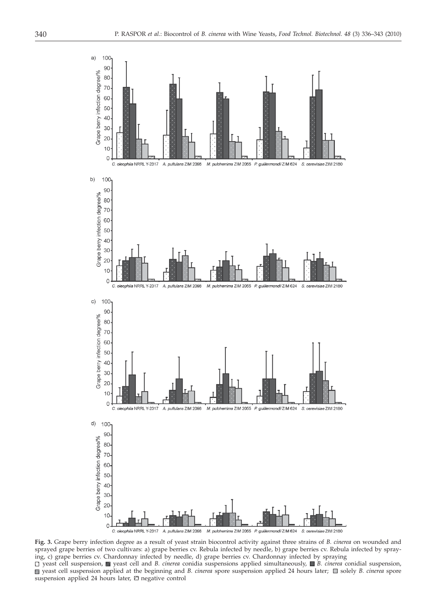

**Fig. 3.** Grape berry infection degree as a result of yeast strain biocontrol activity against three strains of *B. cinerea* on wounded and sprayed grape berries of two cultivars: a) grape berries cv. Rebula infected by needle, b) grape berries cv. Rebula infected by spraying, c) grape berries cv. Chardonnay infected by needle, d) grape berries cv. Chardonnay infected by spraying □ yeast cell suspension, ■ yeast cell and *B. cinerea* conidia suspensions applied simultaneously, ■ *B. cinerea* conidial suspension, yeast cell suspension applied at the beginning and *B. cinerea* spore suspension applied 24 hours later;  $\Box$  solely *B. cinerea* spore suspension applied 24 hours later,  $\boxdot$  negative control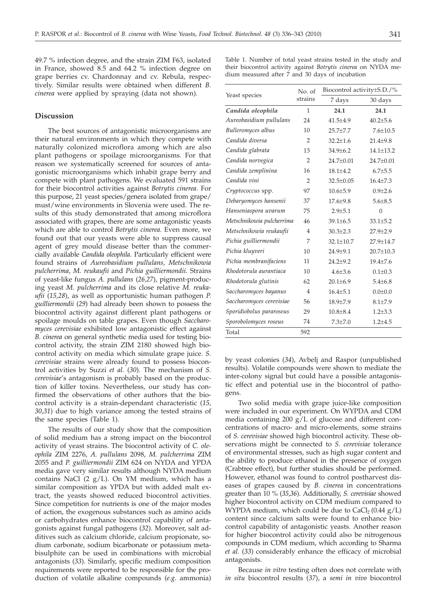49.7 % infection degree, and the strain ZIM F63, isolated in France, showed 8.5 and 64.2 % infection degree on grape berries cv. Chardonnay and cv. Rebula, respectively. Similar results were obtained when different *B. cinerea* were applied by spraying (data not shown).

# **Discussion**

The best sources of antagonistic microorganisms are their natural environments in which they compete with naturally colonized microflora among which are also plant pathogens or spoilage microorganisms. For that reason we systematically screened for sources of antagonistic microorganisms which inhabit grape berry and compete with plant pathogens. We evaluated 591 strains for their biocontrol activities against *Botrytis cinerea.* For this purpose, 21 yeast species/genera isolated from grape/ must/wine environments in Slovenia were used. The results of this study demonstrated that among microflora associated with grapes, there are some antagonistic yeasts which are able to control *Botrytis cinerea.* Even more, we found out that our yeasts were able to suppress causal agent of grey mould disease better than the commercially available *Candida oleophila*. Particularly efficient were found strains of *Aureobasidium pullulans, Metschnikowia pulcherrima, M. reukaufii* and *Pichia guilliermondii*. Strains of yeast-like fungus *A. pullulans* (*26,27*), pigment-producing yeast *M. pulcherrima* and its close relative *M. reukaufii* (*15,28*), as well as opportunistic human pathogen *P. guilliermondii* (*29*) had already been shown to possess the biocontrol activity against different plant pathogens or spoilage moulds on table grapes. Even though *Saccharomyces cerevisiae* exhibited low antagonistic effect against *B. cinerea* on general synthetic media used for testing biocontrol activity, the strain ZIM 2180 showed high biocontrol activity on media which simulate grape juice. *S. cerevisiae* strains were already found to possess biocontrol activities by Suzzi *et al.* (*30*). The mechanism of *S. cerevisiae*'s antagonism is probably based on the production of killer toxins. Nevertheless, our study has confirmed the observations of other authors that the biocontrol activity is a strain-dependant characteristic (*15, 30,31*) due to high variance among the tested strains of the same species (Table 1).

The results of our study show that the composition of solid medium has a strong impact on the biocontrol activity of yeast strains. The biocontrol activity of *C. oleophila* ZIM 2276, *A. pullulans* 2098, *M. pulcherrima* ZIM 2055 and *P. guilliermondii* ZIM 624 on NYDA and YPDA media gave very similar results although NYDA medium contains NaCl  $(2 g/L)$ . On YM medium, which has a similar composition as YPDA but with added malt extract, the yeasts showed reduced biocontrol activities. Since competition for nutrients is one of the major modes of action, the exogenous substances such as amino acids or carbohydrates enhance biocontrol capability of antagonists against fungal pathogens (*32*). Moreover, salt additives such as calcium chloride, calcium propionate, sodium carbonate, sodium bicarbonate or potassium metabisulphite can be used in combinations with microbial antagonists (*33*). Similarly, specific medium composition requirements were reported to be responsible for the production of volatile alkaline compounds (*e.g*. ammonia) Table 1. Number of total yeast strains tested in the study and their biocontrol activity against *Botrytis cinerea* on NYDA medium measured after 7 and 30 days of incubation

| Yeast species             | No. of<br>strains | Biocontrol activity±S.D./% |                 |
|---------------------------|-------------------|----------------------------|-----------------|
|                           |                   | 7 days                     | 30 days         |
| Candida oleophila         | 1                 | 24.1                       | 24.1            |
| Aureobasidium pullulans   | 24                | $41.5 + 4.9$               | $40.2 + 5.6$    |
| Bulleromyces albus        | 10                | $25.7 + 7.7$               | $7.6 + 10.5$    |
| Candida diversa           | $\overline{2}$    | $32.2 + 1.6$               | $21.4 \pm 9.8$  |
| Candida glabrata          | 13                | $34.9 + 6.2$               | $14.1 \pm 13.2$ |
| Candida norvegica         | $\overline{2}$    | $24.7+0.01$                | 24.7±0.01       |
| Candida zemplinina        | 16                | $18.1 + 4.2$               | $6.7 \pm 5.5$   |
| Candida vini              | $\overline{2}$    | $32.5 + 0.05$              | $16.4 + 7.3$    |
| Cryptococcus spp.         | 97                | $10.6 + 5.9$               | $0.9 + 2.6$     |
| Debaryomyces hansenii     | 37                | $17.6 + 9.8$               | $5.6 + 8.5$     |
| Hanseniaspora uvarum      | 75                | $2.9 + 5.1$                | $\Omega$        |
| Metschnikowia pulcherrima | 46                | $39.1 \pm 6.5$             | $33.1 \pm 5.2$  |
| Metschnikowia reukaufii   | 4                 | $30.3{\pm}2.3$             | $27.9 \pm 2.9$  |
| Pichia guilliermondii     | 7                 | $32.1 + 10.7$              | 27.9+14.7       |
| Pichia kluyveri           | 10                | $24.9 + 9.1$               | $20.7 \pm 10.3$ |
| Pichia membranifaciens    | 11                | $24.2 + 9.2$               | $19.4 + 7.6$    |
| Rhodotorula aurantiaca    | 10                | $4.6 + 3.6$                | $0.1 \pm 0.3$   |
| Rhodotorula glutinis      | 62                | $20.1 \pm 6.9$             | $5.4{\pm}6.8$   |
| Saccharomyces bayanus     | $\overline{4}$    | $16.4{\pm}5.1$             | $0.0 \pm 0.0$   |
| Saccharomyces cerevisiae  | 56                | 18.9±7.9                   | $8.1 + 7.9$     |
| Sporidiobolus pararoseus  | 29                | $10.8 + 8.4$               | $1.2 \pm 3.3$   |
| Sporobolomyces roseus     | 74                | $7.3 \pm 7.0$              | $1.2 + 4.5$     |
| Total                     | 592               |                            |                 |

by yeast colonies (*34*), Avbelj and Raspor (unpublished results). Volatile compounds were shown to mediate the inter-colony signal but could have a possible antagonistic effect and potential use in the biocontrol of pathogens.

Two solid media with grape juice-like composition were included in our experiment. On WYPDA and CDM media containing 200 g/L of glucose and different concentrations of macro- and micro-elements, some strains of *S. cerevisiae* showed high biocontrol activity. These observations might be connected to *S. cerevisiae* tolerance of environmental stresses, such as high sugar content and the ability to produce ethanol in the presence of oxygen (Crabtree effect), but further studies should be performed. However, ethanol was found to control postharvest diseases of grapes caused by *B. cinerea* in concentrations greater than 10 % (*35,36*). Additionally, *S. cerevisiae* showed higher biocontrol activity on CDM medium compared to WYPDA medium, which could be due to CaCl<sub>2</sub> (0.44  $g/L$ ) content since calcium salts were found to enhance biocontrol capability of antagonistic yeasts. Another reason for higher biocontrol activity could also be nitrogenous compounds in CDM medium, which according to Sharma *et al.* (*33*) considerably enhance the efficacy of microbial antagonists.

Because *in vitro* testing often does not correlate with *in situ* biocontrol results (*37*), a *semi in vivo* biocontrol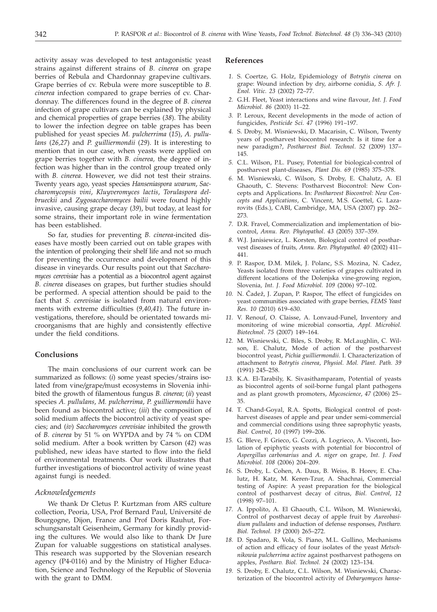activity assay was developed to test antagonistic yeast strains against different strains of *B. cinerea* on grape berries of Rebula and Chardonnay grapevine cultivars. Grape berries of cv. Rebula were more susceptible to *B. cinerea* infection compared to grape berries of cv. Chardonnay. The differences found in the degree of *B. cinerea* infection of grape cultivars can be explained by physical and chemical properties of grape berries (*38*). The ability to lower the infection degree on table grapes has been published for yeast species *M. pulcherrima* (*15*), *A. pullulans* (*26,27*) and *P. guilliermondii* (*29*). It is interesting to mention that in our case, when yeasts were applied on grape berries together with *B. cinerea,* the degree of infection was higher than in the control group treated only with *B. cinerea*. However, we did not test their strains. Twenty years ago, yeast species *Hanseniaspora uvarum*, *Saccharomycopsis vini*, *Kluyveromyces lactis*, *Torulaspora delbrueckii* and *Zygosaccharomyces bailii* were found highly invasive, causing grape decay (*39*), but today, at least for some strains, their important role in wine fermentation has been established.

So far, studies for preventing *B. cinerea*-incited diseases have mostly been carried out on table grapes with the intention of prolonging their shelf life and not so much for preventing the occurrence and development of this disease in vineyards. Our results point out that *Saccharomyces cerevisiae* has a potential as a biocontrol agent against *B. cinerea* diseases on grapes, but further studies should be performed. A special attention should be paid to the fact that *S. cerevisiae* is isolated from natural environments with extreme difficulties (*9,40,41*). The future investigations, therefore, should be orientated towards microorganisms that are highly and consistently effective under the field conditions.

# **Conclusions**

The main conclusions of our current work can be summarized as follows: (*i*) some yeast species/strains isolated from vine*/*grape*/*must ecosystems in Slovenia inhibited the growth of filamentous fungus *B. cinerea*; (*ii*) yeast species *A. pullulans*, *M. pulcherrima*, *P. guilliermondii* have been found as biocontrol active; (*iii*) the composition of solid medium affects the biocontrol activity of yeast species; and (*iv*) *Saccharomyces cerevisiae* inhibited the growth of *B. cinerea* by 51 % on WYPDA and by 74 % on CDM solid medium. After a book written by Carson (*42*) was published, new ideas have started to flow into the field of environmental treatments. Our work illustrates that further investigations of biocontrol activity of wine yeast against fungi is needed.

#### *Acknowledgements*

We thank Dr Cletus P. Kurtzman from ARS culture collection, Peoria, USA, Prof Bernard Paul, Université de Bourgogne, Dijon, France and Prof Doris Rauhut, Forschungsanstalt Geisenheim, Germany for kindly providing the cultures. We would also like to thank Dr Jure Zupan for valuable suggestions on statistical analyses. This research was supported by the Slovenian research agency (P4-0116) and by the Ministry of Higher Education, Science and Technology of the Republic of Slovenia with the grant to DMM.

#### **References**

- *1.* S. Coertze, G. Holz, Epidemiology of *Botrytis cinerea* on grape: Wound infection by dry, airborne conidia, *S. Afr. J. Enol. Vitic. 23* (2002) 72–77.
- *2.* G.H. Fleet, Yeast interactions and wine flavour*, Int. J. Food Microbiol*. *86* (2003) 11–22.
- *3.* P. Leroux, Recent developments in the mode of action of fungicides*, Pesticide Sci*. *47* (1996) 191–197.
- *4.* S. Droby, M. Wisniewski, D. Macarisin, C. Wilson, Twenty years of postharvest biocontrol research: Is it time for a new paradigm?, *Postharvest Biol. Technol*. *52* (2009) 137– 145.
- *5.* C.L. Wilson, P.L. Pusey, Potential for biological-control of postharvest plant-diseases, *Plant Dis. 69* (1985) 375–378.
- *6.* M. Wisniewski, C. Wilson, S. Droby, E. Chalutz, A. El Ghaouth, C. Stevens: Postharvest Biocontrol: New Concepts and Applications. In: *Postharvest Biocontrol: New Concepts and Applications*, C. Vincent, M.S. Goettel, G. Lazarovits (Eds.), CABI, Cambridge, MA, USA (2007) pp. 262– 273.
- *7.* D.R. Fravel, Commercialization and implementation of biocontrol, *Annu. Rev. Phytopathol*. *43* (2005) 337–359.
- *8.* W.J. Janisiewicz, L. Korsten, Biological control of postharvest diseases of fruits*, Annu. Rev. Phytopathol. 40* (2002) 411– 441.
- *9.* P. Raspor, D.M. Milek, J. Polanc, S.S. Mozina, N. Cadez, Yeasts isolated from three varieties of grapes cultivated in different locations of the Dolenjska vine-growing region, Slovenia*, Int. J. Food Microbiol. 109* (2006) 97–102.
- 10. N. Čadež, J. Zupan, P. Raspor, The effect of fungicides on yeast communities associated with grape berries*, FEMS Yeast Res. 10* (2010) 619–630.
- *11.* V. Renouf, O. Claisse, A. Lonvaud-Funel, Inventory and monitoring of wine microbial consortia, *Appl. Microbiol. Biotechnol*. *75* (2007) 149–164.
- *12.* M. Wisniewski, C. Biles, S. Droby, R. McLaughlin, C. Wilson, E. Chalutz, Mode of action of the postharvest biocontrol yeast, *Pichia guilliermondii*. I. Characterization of attachment to *Botrytis cinerea*, *Physiol. Mol. Plant. Path. 39* (1991) 245–258.
- *13.* K.A. El-Tarabily, K. Sivasithamparam, Potential of yeasts as biocontrol agents of soil-borne fungal plant pathogens and as plant growth promoters, *Mycoscience*, *47* (2006) 25– 35.
- *14.* T. Chand-Goyal, R.A. Spotts, Biological control of postharvest diseases of apple and pear under semi-commercial and commercial conditions using three saprophytic yeasts*, Biol. Control*, *10* (1997) 199–206.
- *15.* G. Bleve, F. Grieco, G. Cozzi, A. Logrieco, A. Visconti, Isolation of epiphytic yeasts with potential for biocontrol of *Aspergillus carbonarius* and *A. niger* on grape*, Int. J. Food Microbiol*. *108* (2006) 204–209.
- *16.* S. Droby, L. Cohen, A. Daus, B. Weiss, B. Horev, E. Chalutz, H. Katz, M. Keren-Tzur, A. Shachnai, Commercial testing of Aspire: A yeast preparation for the biological control of postharvest decay of citrus, *Biol. Control*, *12* (1998) 97–101.
- *17.* A. Ippolito, A. El Ghaouth, C.L. Wilson, M. Wisniewski, Control of postharvest decay of apple fruit by *Aureobasidium pullulans* and induction of defense responses*, Postharv. Biol. Technol. 19* (2000) 265–272.
- *18.* D. Spadaro, R. Vola, S. Piano, M.L. Gullino, Mechanisms of action and efficacy of four isolates of the yeast *Metschnikowia pulcherrima active* against postharvest pathogens on apples*, Postharv. Biol. Technol. 24* (2002) 123–134.
- *19.* S. Droby, E. Chalutz, C.L. Wilson, M. Wisniewski, Characterization of the biocontrol activity of *Debaryomyces hanse-*